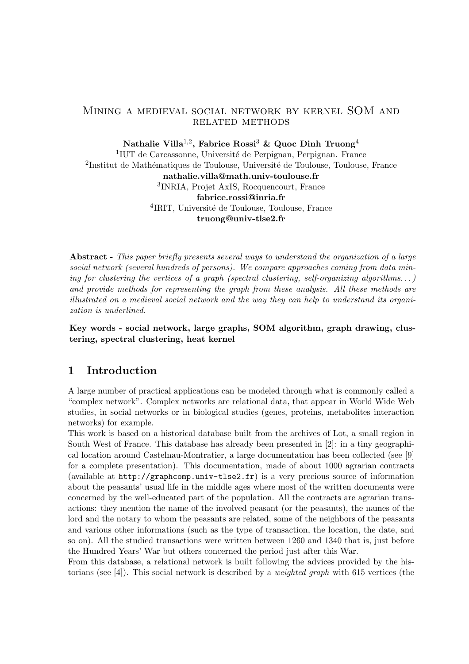#### Mining a medieval social network by kernel SOM and RELATED METHODS

Nathalie Villa $^{1,2}$ , Fabrice Rossi $^3$  & Quoc Dinh Truong $^4$ <sup>1</sup>IUT de Carcassonne, Université de Perpignan, Perpignan. France <sup>2</sup>Institut de Mathématiques de Toulouse, Université de Toulouse, Toulouse, France nathalie.villa@math.univ-toulouse.fr 3 INRIA, Projet AxIS, Rocquencourt, France fabrice.rossi@inria.fr <sup>4</sup>IRIT, Université de Toulouse, Toulouse, France truong@univ-tlse2.fr

Abstract - This paper briefly presents several ways to understand the organization of a large social network (several hundreds of persons). We compare approaches coming from data mining for clustering the vertices of a graph (spectral clustering, self-organizing algorithms...) and provide methods for representing the graph from these analysis. All these methods are illustrated on a medieval social network and the way they can help to understand its organization is underlined.

Key words - social network, large graphs, SOM algorithm, graph drawing, clustering, spectral clustering, heat kernel

## 1 Introduction

A large number of practical applications can be modeled through what is commonly called a "complex network". Complex networks are relational data, that appear in World Wide Web studies, in social networks or in biological studies (genes, proteins, metabolites interaction networks) for example.

This work is based on a historical database built from the archives of Lot, a small region in South West of France. This database has already been presented in [2]: in a tiny geographical location around Castelnau-Montratier, a large documentation has been collected (see [9] for a complete presentation). This documentation, made of about 1000 agrarian contracts (available at http://graphcomp.univ-tlse2.fr) is a very precious source of information about the peasants' usual life in the middle ages where most of the written documents were concerned by the well-educated part of the population. All the contracts are agrarian transactions: they mention the name of the involved peasant (or the peasants), the names of the lord and the notary to whom the peasants are related, some of the neighbors of the peasants and various other informations (such as the type of transaction, the location, the date, and so on). All the studied transactions were written between 1260 and 1340 that is, just before the Hundred Years' War but others concerned the period just after this War.

From this database, a relational network is built following the advices provided by the historians (see [4]). This social network is described by a *weighted graph* with 615 vertices (the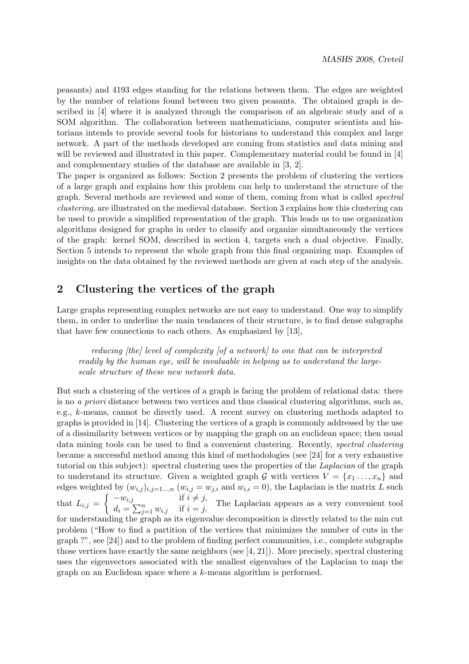peasants) and 4193 edges standing for the relations between them. The edges are weighted by the number of relations found between two given peasants. The obtained graph is described in [4] where it is analyzed through the comparison of an algebraic study and of a SOM algorithm. The collaboration between mathematicians, computer scientists and historians intends to provide several tools for historians to understand this complex and large network. A part of the methods developed are coming from statistics and data mining and will be reviewed and illustrated in this paper. Complementary material could be found in [4] and complementary studies of the database are available in [3, 2].

The paper is organized as follows: Section 2 presents the problem of clustering the vertices of a large graph and explains how this problem can help to understand the structure of the graph. Several methods are reviewed and some of them, coming from what is called spectral clustering, are illustrated on the medieval database. Section 3 explains how this clustering can be used to provide a simplified representation of the graph. This leads us to use organization algorithms designed for graphs in order to classify and organize simultaneously the vertices of the graph: kernel SOM, described in section 4, targets such a dual objective. Finally, Section 5 intends to represent the whole graph from this final organizing map. Examples of insights on the data obtained by the reviewed methods are given at each step of the analysis.

## 2 Clustering the vertices of the graph

Large graphs representing complex networks are not easy to understand. One way to simplify them, in order to underline the main tendances of their structure, is to find dense subgraphs that have few connections to each others. As emphasized by [13],

reducing [the] level of complexity [of a network] to one that can be interpreted readily by the human eye, will be invaluable in helping us to understand the largescale structure of these new network data.

But such a clustering of the vertices of a graph is facing the problem of relational data: there is no a priori distance between two vertices and thus classical clustering algorithms, such as, e.g., k-means, cannot be directly used. A recent survey on clustering methods adapted to graphs is provided in [14]. Clustering the vertices of a graph is commonly addressed by the use of a dissimilarity between vertices or by mapping the graph on an euclidean space; then usual data mining tools can be used to find a convenient clustering. Recently, spectral clustering became a successful method among this kind of methodologies (see [24] for a very exhaustive tutorial on this subject): spectral clustering uses the properties of the Laplacian of the graph to understand its structure. Given a weighted graph G with vertices  $V = \{x_1, \ldots, x_n\}$  and edges weighted by  $(w_{i,j})_{i,j=1...,n}$   $(w_{i,j} = w_{j,i} \text{ and } w_{i,i} = 0)$ , the Laplacian is the matrix L such that  $L_{i,j} = \begin{cases} -w_{i,j} & \text{if } i \neq j, \\ d_i - \sum_{j} w_{i,j} & \text{if } i = j. \end{cases}$  $d_i = \sum_{j=1}^n w_{i,j}$  if  $i = j$ . The Laplacian appears as a very convenient tool for understanding the graph as its eigenvalue decomposition is directly related to the min cut problem ("How to find a partition of the vertices that minimizes the number of cuts in the graph ?", see [24]) and to the problem of finding perfect communities, i.e., complete subgraphs those vertices have exactly the same neighbors (see  $[4, 21]$ ). More precisely, spectral clustering uses the eigenvectors associated with the smallest eigenvalues of the Laplacian to map the graph on an Euclidean space where a k-means algorithm is performed.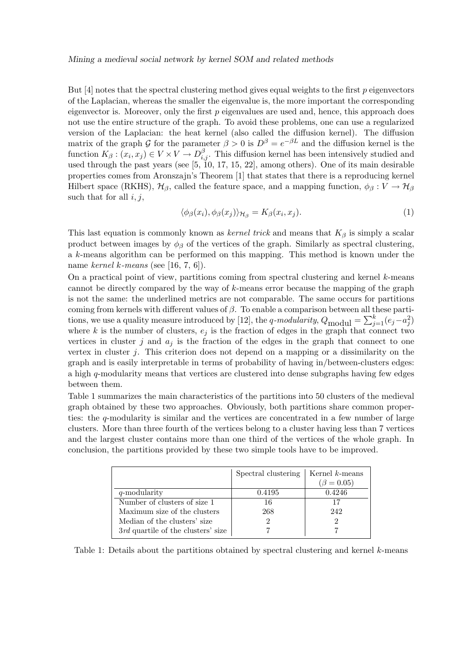#### Mining a medieval social network by kernel SOM and related methods

But  $[4]$  notes that the spectral clustering method gives equal weights to the first  $p$  eigenvectors of the Laplacian, whereas the smaller the eigenvalue is, the more important the corresponding eigenvector is. Moreover, only the first  $p$  eigenvalues are used and, hence, this approach does not use the entire structure of the graph. To avoid these problems, one can use a regularized version of the Laplacian: the heat kernel (also called the diffusion kernel). The diffusion matrix of the graph G for the parameter  $\beta > 0$  is  $D^{\beta} = e^{-\beta L}$  and the diffusion kernel is the function  $K_{\beta}: (x_i, x_j) \in V \times V \to D^{\beta}_{i,j}$ . This diffusion kernel has been intensively studied and used through the past years (see [5, 10, 17, 15, 22], among others). One of its main desirable properties comes from Aronszajn's Theorem [1] that states that there is a reproducing kernel Hilbert space (RKHS),  $\mathcal{H}_{\beta}$ , called the feature space, and a mapping function,  $\phi_{\beta}: V \to \mathcal{H}_{\beta}$ such that for all  $i, j$ ,

$$
\langle \phi_{\beta}(x_i), \phi_{\beta}(x_j) \rangle_{\mathcal{H}_{\beta}} = K_{\beta}(x_i, x_j). \tag{1}
$$

This last equation is commonly known as *kernel trick* and means that  $K_\beta$  is simply a scalar product between images by  $\phi_\beta$  of the vertices of the graph. Similarly as spectral clustering, a k-means algorithm can be performed on this mapping. This method is known under the name kernel k-means (see [16, 7, 6]).

On a practical point of view, partitions coming from spectral clustering and kernel  $k$ -means cannot be directly compared by the way of k-means error because the mapping of the graph is not the same: the underlined metrics are not comparable. The same occurs for partitions coming from kernels with different values of  $\beta$ . To enable a comparison between all these partitions, we use a quality measure introduced by [12], the q-modularity,  $Q_{\text{modul}} = \sum_{j=1}^{k} (e_j - a_j^2)$  $\binom{2}{j}$ where k is the number of clusters,  $e_j$  is the fraction of edges in the graph that connect two vertices in cluster j and  $a_i$  is the fraction of the edges in the graph that connect to one vertex in cluster  $i$ . This criterion does not depend on a mapping or a dissimilarity on the graph and is easily interpretable in terms of probability of having in/between-clusters edges: a high q-modularity means that vertices are clustered into dense subgraphs having few edges between them.

Table 1 summarizes the main characteristics of the partitions into 50 clusters of the medieval graph obtained by these two approaches. Obviously, both partitions share common properties: the q-modularity is similar and the vertices are concentrated in a few number of large clusters. More than three fourth of the vertices belong to a cluster having less than 7 vertices and the largest cluster contains more than one third of the vertices of the whole graph. In conclusion, the partitions provided by these two simple tools have to be improved.

|                                    | Spectral clustering | Kernel $k$ -means |
|------------------------------------|---------------------|-------------------|
|                                    |                     | $(\beta = 0.05)$  |
| q-modularity                       | 0.4195              | 0.4246            |
| Number of clusters of size 1       | 16                  | 17                |
| Maximum size of the clusters       | 268                 | 242               |
| Median of the clusters' size       |                     |                   |
| 3rd quartile of the clusters' size |                     |                   |

Table 1: Details about the partitions obtained by spectral clustering and kernel k-means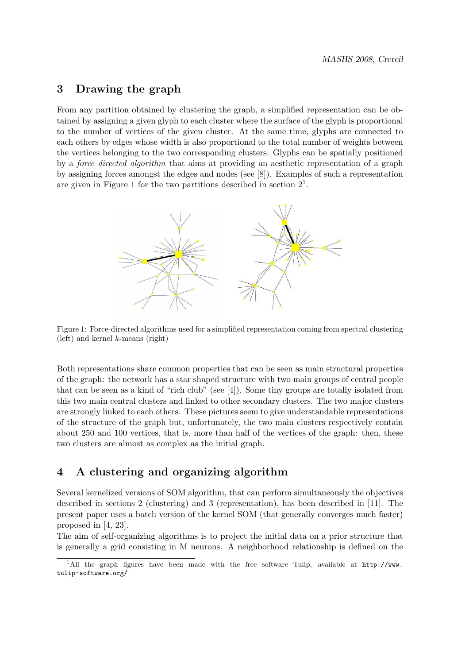### 3 Drawing the graph

From any partition obtained by clustering the graph, a simplified representation can be obtained by assigning a given glyph to each cluster where the surface of the glyph is proportional to the number of vertices of the given cluster. At the same time, glyphs are connected to each others by edges whose width is also proportional to the total number of weights between the vertices belonging to the two corresponding clusters. Glyphs can be spatially positioned by a force directed algorithm that aims at providing an aesthetic representation of a graph by assigning forces amongst the edges and nodes (see [8]). Examples of such a representation are given in Figure 1 for the two partitions described in section  $2<sup>1</sup>$ .



Figure 1: Force-directed algorithms used for a simplified representation coming from spectral clustering (left) and kernel  $k$ -means (right)

Both representations share common properties that can be seen as main structural properties of the graph: the network has a star shaped structure with two main groups of central people that can be seen as a kind of "rich club" (see [4]). Some tiny groups are totally isolated from this two main central clusters and linked to other secondary clusters. The two major clusters are strongly linked to each others. These pictures seem to give understandable representations of the structure of the graph but, unfortunately, the two main clusters respectively contain about 250 and 100 vertices, that is, more than half of the vertices of the graph: then, these two clusters are almost as complex as the initial graph.

## 4 A clustering and organizing algorithm

Several kernelized versions of SOM algorithm, that can perform simultaneously the objectives described in sections 2 (clustering) and 3 (representation), has been described in [11]. The present paper uses a batch version of the kernel SOM (that generally converges much faster) proposed in [4, 23].

The aim of self-organizing algorithms is to project the initial data on a prior structure that is generally a grid consisting in M neurons. A neighborhood relationship is defined on the

<sup>&</sup>lt;sup>1</sup>All the graph figures have been made with the free software Tulip, available at  $http://www.$ tulip-software.org/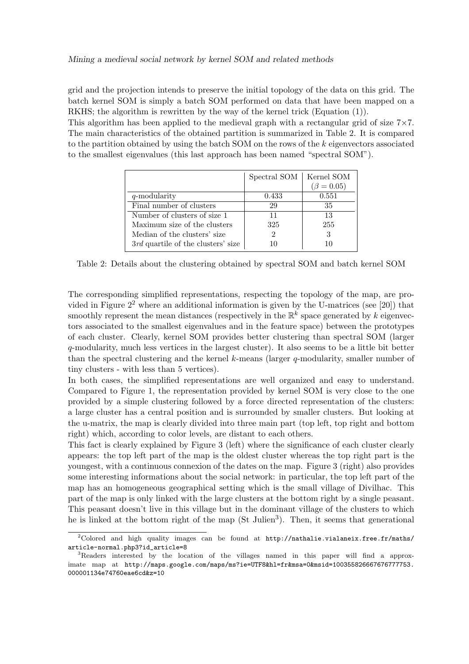grid and the projection intends to preserve the initial topology of the data on this grid. The batch kernel SOM is simply a batch SOM performed on data that have been mapped on a RKHS; the algorithm is rewritten by the way of the kernel trick (Equation (1)).

This algorithm has been applied to the medieval graph with a rectangular grid of size  $7 \times 7$ . The main characteristics of the obtained partition is summarized in Table 2. It is compared to the partition obtained by using the batch SOM on the rows of the  $k$  eigenvectors associated to the smallest eigenvalues (this last approach has been named "spectral SOM").

|                                    | Spectral SOM | Kernel SOM       |
|------------------------------------|--------------|------------------|
|                                    |              | $(\beta = 0.05)$ |
| q-modularity                       | 0.433        | 0.551            |
| Final number of clusters           | 29           | 35               |
| Number of clusters of size 1       | 11           | 13               |
| Maximum size of the clusters       | 325          | 255              |
| Median of the clusters' size       | 2            | 3                |
| 3rd quartile of the clusters' size | 10           |                  |

Table 2: Details about the clustering obtained by spectral SOM and batch kernel SOM

The corresponding simplified representations, respecting the topology of the map, are provided in Figure  $2<sup>2</sup>$  where an additional information is given by the U-matrices (see [20]) that smoothly represent the mean distances (respectively in the  $\mathbb{R}^k$  space generated by k eigenvectors associated to the smallest eigenvalues and in the feature space) between the prototypes of each cluster. Clearly, kernel SOM provides better clustering than spectral SOM (larger q-modularity, much less vertices in the largest cluster). It also seems to be a little bit better than the spectral clustering and the kernel  $k$ -means (larger q-modularity, smaller number of tiny clusters - with less than 5 vertices).

In both cases, the simplified representations are well organized and easy to understand. Compared to Figure 1, the representation provided by kernel SOM is very close to the one provided by a simple clustering followed by a force directed representation of the clusters: a large cluster has a central position and is surrounded by smaller clusters. But looking at the u-matrix, the map is clearly divided into three main part (top left, top right and bottom right) which, according to color levels, are distant to each others.

This fact is clearly explained by Figure 3 (left) where the significance of each cluster clearly appears: the top left part of the map is the oldest cluster whereas the top right part is the youngest, with a continuous connexion of the dates on the map. Figure 3 (right) also provides some interesting informations about the social network: in particular, the top left part of the map has an homogeneous geographical setting which is the small village of Divilhac. This part of the map is only linked with the large clusters at the bottom right by a single peasant. This peasant doesn't live in this village but in the dominant village of the clusters to which he is linked at the bottom right of the map (St Julien<sup>3</sup>). Then, it seems that generational

<sup>&</sup>lt;sup>2</sup>Colored and high quality images can be found at  $http://nathalie.vialaneix.free.fr/maths/$ article-normal.php3?id\_article=8

<sup>&</sup>lt;sup>3</sup>Readers interested by the location of the villages named in this paper will find a approximate map at http://maps.google.com/maps/ms?ie=UTF8&hl=fr&msa=0&msid=100355826667676777753. 000001134e74760eae6cd&z=10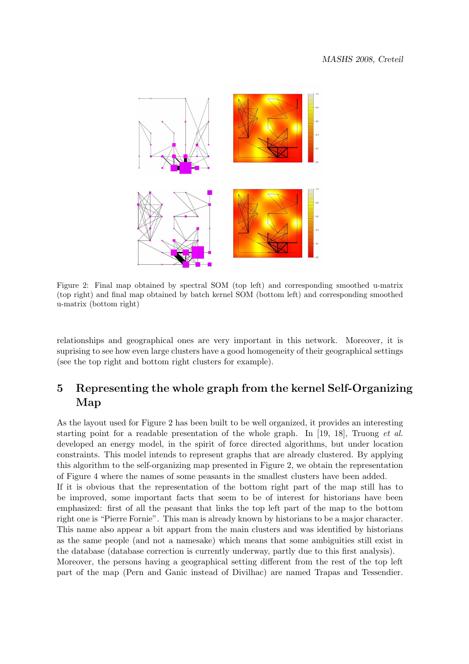

Figure 2: Final map obtained by spectral SOM (top left) and corresponding smoothed u-matrix (top right) and final map obtained by batch kernel SOM (bottom left) and corresponding smoothed u-matrix (bottom right)

relationships and geographical ones are very important in this network. Moreover, it is suprising to see how even large clusters have a good homogeneity of their geographical settings (see the top right and bottom right clusters for example).

# 5 Representing the whole graph from the kernel Self-Organizing Map

As the layout used for Figure 2 has been built to be well organized, it provides an interesting starting point for a readable presentation of the whole graph. In [19, 18], Truong *et al.* developed an energy model, in the spirit of force directed algorithms, but under location constraints. This model intends to represent graphs that are already clustered. By applying this algorithm to the self-organizing map presented in Figure 2, we obtain the representation of Figure 4 where the names of some peasants in the smallest clusters have been added. If it is obvious that the representation of the bottom right part of the map still has to be improved, some important facts that seem to be of interest for historians have been emphasized: first of all the peasant that links the top left part of the map to the bottom right one is "Pierre Fornie". This man is already known by historians to be a major character. This name also appear a bit appart from the main clusters and was identified by historians as the same people (and not a namesake) which means that some ambiguities still exist in the database (database correction is currently underway, partly due to this first analysis). Moreover, the persons having a geographical setting different from the rest of the top left part of the map (Pern and Ganic instead of Divilhac) are named Trapas and Tessendier.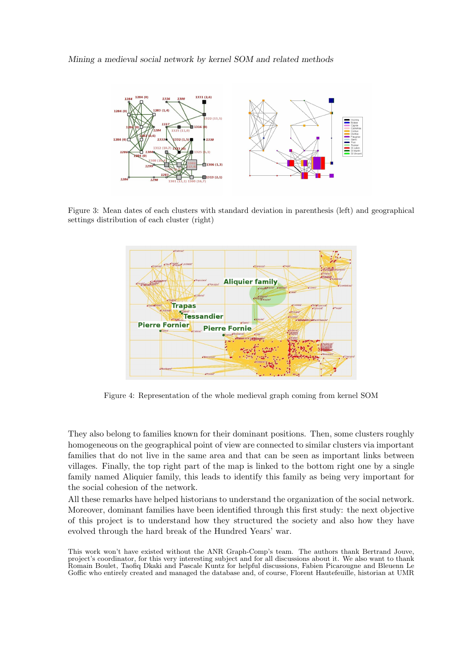#### Mining a medieval social network by kernel SOM and related methods



Figure 3: Mean dates of each clusters with standard deviation in parenthesis (left) and geographical settings distribution of each cluster (right)



Figure 4: Representation of the whole medieval graph coming from kernel SOM

They also belong to families known for their dominant positions. Then, some clusters roughly homogeneous on the geographical point of view are connected to similar clusters via important families that do not live in the same area and that can be seen as important links between villages. Finally, the top right part of the map is linked to the bottom right one by a single family named Aliquier family, this leads to identify this family as being very important for the social cohesion of the network.

All these remarks have helped historians to understand the organization of the social network. Moreover, dominant families have been identified through this first study: the next objective of this project is to understand how they structured the society and also how they have evolved through the hard break of the Hundred Years' war.

This work won't have existed without the ANR Graph-Comp's team. The authors thank Bertrand Jouve, project's coordinator, for this very interesting subject and for all discussions about it. We also want to thank Romain Boulet, Taofiq Dkaki and Pascale Kuntz for helpful discussions, Fabien Picarougne and Bleuenn Le Goffic who entirely created and managed the database and, of course, Florent Hautefeuille, historian at UMR